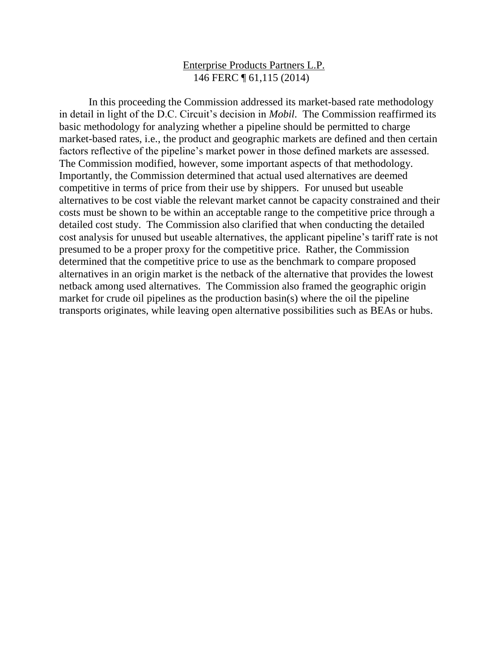## Enterprise Products Partners L.P. 146 FERC ¶ 61,115 (2014)

In this proceeding the Commission addressed its market-based rate methodology in detail in light of the D.C. Circuit's decision in *Mobil*. The Commission reaffirmed its basic methodology for analyzing whether a pipeline should be permitted to charge market-based rates, i.e., the product and geographic markets are defined and then certain factors reflective of the pipeline's market power in those defined markets are assessed. The Commission modified, however, some important aspects of that methodology. Importantly, the Commission determined that actual used alternatives are deemed competitive in terms of price from their use by shippers. For unused but useable alternatives to be cost viable the relevant market cannot be capacity constrained and their costs must be shown to be within an acceptable range to the competitive price through a detailed cost study. The Commission also clarified that when conducting the detailed cost analysis for unused but useable alternatives, the applicant pipeline's tariff rate is not presumed to be a proper proxy for the competitive price. Rather, the Commission determined that the competitive price to use as the benchmark to compare proposed alternatives in an origin market is the netback of the alternative that provides the lowest netback among used alternatives. The Commission also framed the geographic origin market for crude oil pipelines as the production basin(s) where the oil the pipeline transports originates, while leaving open alternative possibilities such as BEAs or hubs.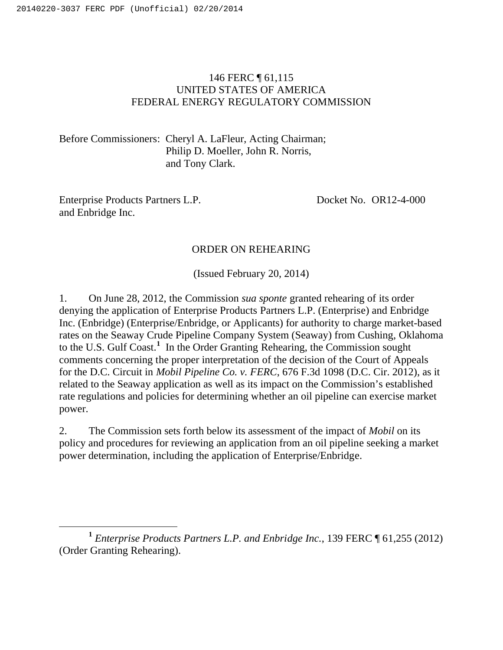## 146 FERC ¶ 61,115 UNITED STATES OF AMERICA FEDERAL ENERGY REGULATORY COMMISSION

Before Commissioners: Cheryl A. LaFleur, Acting Chairman; Philip D. Moeller, John R. Norris, and Tony Clark.

Enterprise Products Partners L.P. and Enbridge Inc.

Docket No. OR12-4-000

### ORDER ON REHEARING

(Issued February 20, 2014)

1. On June 28, 2012, the Commission *sua sponte* granted rehearing of its order denying the application of Enterprise Products Partners L.P. (Enterprise) and Enbridge Inc. (Enbridge) (Enterprise/Enbridge, or Applicants) for authority to charge market-based rates on the Seaway Crude Pipeline Company System (Seaway) from Cushing, Oklahoma to the U.S. Gulf Coast.**<sup>1</sup>** In the Order Granting Rehearing, the Commission sought comments concerning the proper interpretation of the decision of the Court of Appeals for the D.C. Circuit in *Mobil Pipeline Co. v. FERC*, 676 F.3d 1098 (D.C. Cir. 2012), as it related to the Seaway application as well as its impact on the Commission's established rate regulations and policies for determining whether an oil pipeline can exercise market power.

2. The Commission sets forth below its assessment of the impact of *Mobil* on its policy and procedures for reviewing an application from an oil pipeline seeking a market power determination, including the application of Enterprise/Enbridge.

**<sup>1</sup>** *Enterprise Products Partners L.P. and Enbridge Inc.*, 139 FERC ¶ 61,255 (2012) (Order Granting Rehearing).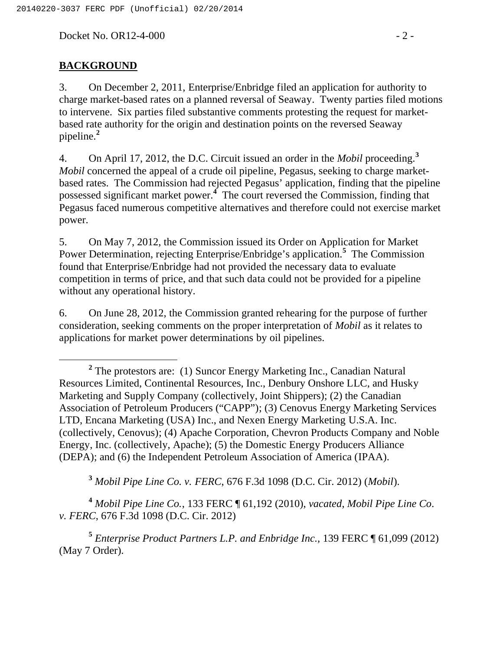Docket No. OR12-4-000 - 2 -

### **BACKGROUND**

3. On December 2, 2011, Enterprise/Enbridge filed an application for authority to charge market-based rates on a planned reversal of Seaway. Twenty parties filed motions to intervene. Six parties filed substantive comments protesting the request for marketbased rate authority for the origin and destination points on the reversed Seaway pipeline.**<sup>2</sup>**

4. On April 17, 2012, the D.C. Circuit issued an order in the *Mobil* proceeding.**<sup>3</sup>** *Mobil* concerned the appeal of a crude oil pipeline, Pegasus, seeking to charge marketbased rates. The Commission had rejected Pegasus' application, finding that the pipeline possessed significant market power.**<sup>4</sup>** The court reversed the Commission, finding that Pegasus faced numerous competitive alternatives and therefore could not exercise market power.

5. On May 7, 2012, the Commission issued its Order on Application for Market Power Determination, rejecting Enterprise/Enbridge's application.**<sup>5</sup>** The Commission found that Enterprise/Enbridge had not provided the necessary data to evaluate competition in terms of price, and that such data could not be provided for a pipeline without any operational history.

6. On June 28, 2012, the Commission granted rehearing for the purpose of further consideration, seeking comments on the proper interpretation of *Mobil* as it relates to applications for market power determinations by oil pipelines.

**<sup>3</sup>** *Mobil Pipe Line Co. v. FERC*, 676 F.3d 1098 (D.C. Cir. 2012) (*Mobil*).

**<sup>4</sup>** *Mobil Pipe Line Co.*, 133 FERC ¶ 61,192 (2010), *vacated*, *Mobil Pipe Line Co. v. FERC*, 676 F.3d 1098 (D.C. Cir. 2012)

**<sup>5</sup>** *Enterprise Product Partners L.P. and Enbridge Inc.,* 139 FERC ¶ 61,099 (2012) (May 7 Order).

**<sup>2</sup>** The protestors are: (1) Suncor Energy Marketing Inc., Canadian Natural Resources Limited, Continental Resources, Inc., Denbury Onshore LLC, and Husky Marketing and Supply Company (collectively, Joint Shippers); (2) the Canadian Association of Petroleum Producers ("CAPP"); (3) Cenovus Energy Marketing Services LTD, Encana Marketing (USA) Inc., and Nexen Energy Marketing U.S.A. Inc. (collectively, Cenovus); (4) Apache Corporation, Chevron Products Company and Noble Energy, Inc. (collectively, Apache); (5) the Domestic Energy Producers Alliance (DEPA); and (6) the Independent Petroleum Association of America (IPAA).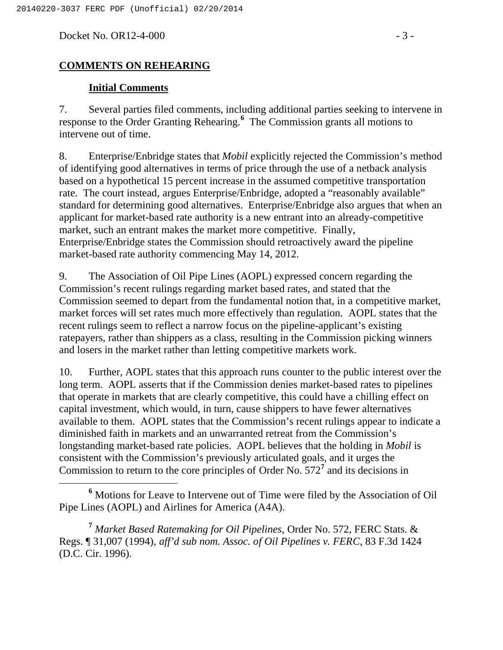Docket No. OR12-4-000 - 3 -

## **COMMENTS ON REHEARING**

#### **Initial Comments**

7. Several parties filed comments, including additional parties seeking to intervene in response to the Order Granting Rehearing.**<sup>6</sup>** The Commission grants all motions to intervene out of time.

8. Enterprise/Enbridge states that *Mobil* explicitly rejected the Commission's method of identifying good alternatives in terms of price through the use of a netback analysis based on a hypothetical 15 percent increase in the assumed competitive transportation rate. The court instead, argues Enterprise/Enbridge, adopted a "reasonably available" standard for determining good alternatives. Enterprise/Enbridge also argues that when an applicant for market-based rate authority is a new entrant into an already-competitive market, such an entrant makes the market more competitive. Finally, Enterprise/Enbridge states the Commission should retroactively award the pipeline market-based rate authority commencing May 14, 2012.

9. The Association of Oil Pipe Lines (AOPL) expressed concern regarding the Commission's recent rulings regarding market based rates, and stated that the Commission seemed to depart from the fundamental notion that, in a competitive market, market forces will set rates much more effectively than regulation. AOPL states that the recent rulings seem to reflect a narrow focus on the pipeline-applicant's existing ratepayers, rather than shippers as a class, resulting in the Commission picking winners and losers in the market rather than letting competitive markets work.

10. Further, AOPL states that this approach runs counter to the public interest over the long term. AOPL asserts that if the Commission denies market-based rates to pipelines that operate in markets that are clearly competitive, this could have a chilling effect on capital investment, which would, in turn, cause shippers to have fewer alternatives available to them. AOPL states that the Commission's recent rulings appear to indicate a diminished faith in markets and an unwarranted retreat from the Commission's longstanding market-based rate policies. AOPL believes that the holding in *Mobil* is consistent with the Commission's previously articulated goals, and it urges the Commission to return to the core principles of Order No. 572**<sup>7</sup>** and its decisions in

**<sup>7</sup>** *Market Based Ratemaking for Oil Pipelines*, Order No. 572, FERC Stats. & Regs. ¶ 31,007 (1994), *aff'd sub nom. Assoc. of Oil Pipelines v. FERC*, 83 F.3d 1424 (D.C. Cir. 1996).

**<sup>6</sup>** Motions for Leave to Intervene out of Time were filed by the Association of Oil Pipe Lines (AOPL) and Airlines for America (A4A).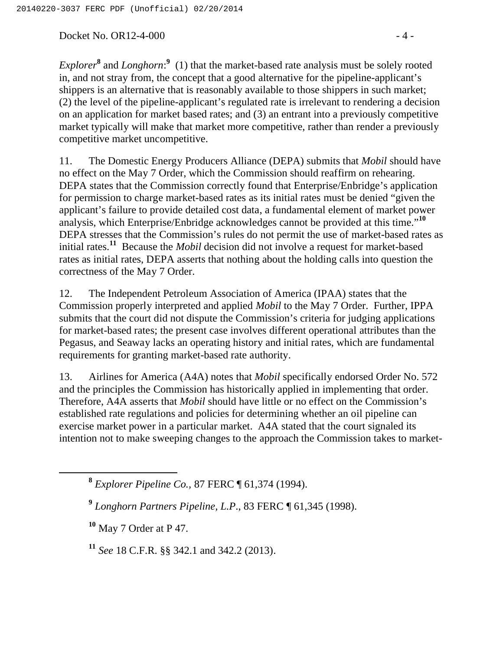Docket No. OR12-4-000 - 4 -

*Explorer***<sup>8</sup>** and *Longhorn*: **<sup>9</sup>** (1) that the market-based rate analysis must be solely rooted in, and not stray from, the concept that a good alternative for the pipeline-applicant's shippers is an alternative that is reasonably available to those shippers in such market; (2) the level of the pipeline-applicant's regulated rate is irrelevant to rendering a decision on an application for market based rates; and (3) an entrant into a previously competitive market typically will make that market more competitive, rather than render a previously competitive market uncompetitive.

11. The Domestic Energy Producers Alliance (DEPA) submits that *Mobil* should have no effect on the May 7 Order, which the Commission should reaffirm on rehearing. DEPA states that the Commission correctly found that Enterprise/Enbridge's application for permission to charge market-based rates as its initial rates must be denied "given the applicant's failure to provide detailed cost data, a fundamental element of market power analysis, which Enterprise/Enbridge acknowledges cannot be provided at this time."**<sup>10</sup>** DEPA stresses that the Commission's rules do not permit the use of market-based rates as initial rates.**<sup>11</sup>** Because the *Mobil* decision did not involve a request for market-based rates as initial rates, DEPA asserts that nothing about the holding calls into question the correctness of the May 7 Order.

12. The Independent Petroleum Association of America (IPAA) states that the Commission properly interpreted and applied *Mobil* to the May 7 Order. Further, IPPA submits that the court did not dispute the Commission's criteria for judging applications for market-based rates; the present case involves different operational attributes than the Pegasus, and Seaway lacks an operating history and initial rates, which are fundamental requirements for granting market-based rate authority.

13. Airlines for America (A4A) notes that *Mobil* specifically endorsed Order No. 572 and the principles the Commission has historically applied in implementing that order. Therefore, A4A asserts that *Mobil* should have little or no effect on the Commission's established rate regulations and policies for determining whether an oil pipeline can exercise market power in a particular market. A4A stated that the court signaled its intention not to make sweeping changes to the approach the Commission takes to market-

**<sup>8</sup>** *Explorer Pipeline Co.,* 87 FERC ¶ 61,374 (1994).

**<sup>9</sup>** *Longhorn Partners Pipeline, L.P*., 83 FERC ¶ 61,345 (1998).

**<sup>10</sup>** May 7 Order at P 47.

**<sup>11</sup>** *See* 18 C.F.R. §§ 342.1 and 342.2 (2013).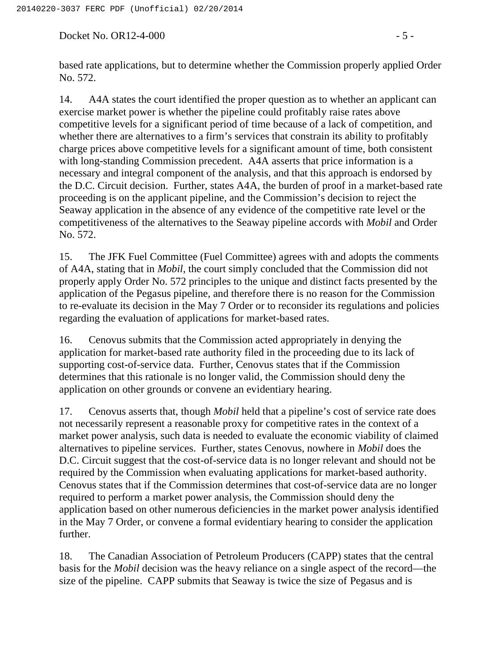Docket No. OR12-4-000 - 5 -

based rate applications, but to determine whether the Commission properly applied Order No. 572.

14. A4A states the court identified the proper question as to whether an applicant can exercise market power is whether the pipeline could profitably raise rates above competitive levels for a significant period of time because of a lack of competition, and whether there are alternatives to a firm's services that constrain its ability to profitably charge prices above competitive levels for a significant amount of time, both consistent with long-standing Commission precedent. A4A asserts that price information is a necessary and integral component of the analysis, and that this approach is endorsed by the D.C. Circuit decision. Further, states A4A, the burden of proof in a market-based rate proceeding is on the applicant pipeline, and the Commission's decision to reject the Seaway application in the absence of any evidence of the competitive rate level or the competitiveness of the alternatives to the Seaway pipeline accords with *Mobil* and Order No. 572.

15. The JFK Fuel Committee (Fuel Committee) agrees with and adopts the comments of A4A, stating that in *Mobil*, the court simply concluded that the Commission did not properly apply Order No. 572 principles to the unique and distinct facts presented by the application of the Pegasus pipeline, and therefore there is no reason for the Commission to re-evaluate its decision in the May 7 Order or to reconsider its regulations and policies regarding the evaluation of applications for market-based rates.

16. Cenovus submits that the Commission acted appropriately in denying the application for market-based rate authority filed in the proceeding due to its lack of supporting cost-of-service data. Further, Cenovus states that if the Commission determines that this rationale is no longer valid, the Commission should deny the application on other grounds or convene an evidentiary hearing.

17. Cenovus asserts that, though *Mobil* held that a pipeline's cost of service rate does not necessarily represent a reasonable proxy for competitive rates in the context of a market power analysis, such data is needed to evaluate the economic viability of claimed alternatives to pipeline services. Further, states Cenovus, nowhere in *Mobil* does the D.C. Circuit suggest that the cost-of-service data is no longer relevant and should not be required by the Commission when evaluating applications for market-based authority. Cenovus states that if the Commission determines that cost-of-service data are no longer required to perform a market power analysis, the Commission should deny the application based on other numerous deficiencies in the market power analysis identified in the May 7 Order, or convene a formal evidentiary hearing to consider the application further.

18. The Canadian Association of Petroleum Producers (CAPP) states that the central basis for the *Mobil* decision was the heavy reliance on a single aspect of the record—the size of the pipeline. CAPP submits that Seaway is twice the size of Pegasus and is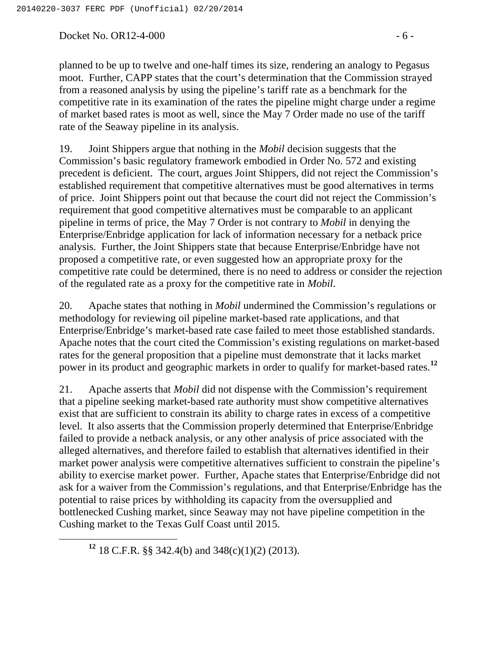Docket No. OR12-4-000 - 6 -

planned to be up to twelve and one-half times its size, rendering an analogy to Pegasus moot. Further, CAPP states that the court's determination that the Commission strayed from a reasoned analysis by using the pipeline's tariff rate as a benchmark for the competitive rate in its examination of the rates the pipeline might charge under a regime of market based rates is moot as well, since the May 7 Order made no use of the tariff rate of the Seaway pipeline in its analysis.

19. Joint Shippers argue that nothing in the *Mobil* decision suggests that the Commission's basic regulatory framework embodied in Order No. 572 and existing precedent is deficient. The court, argues Joint Shippers, did not reject the Commission's established requirement that competitive alternatives must be good alternatives in terms of price. Joint Shippers point out that because the court did not reject the Commission's requirement that good competitive alternatives must be comparable to an applicant pipeline in terms of price, the May 7 Order is not contrary to *Mobil* in denying the Enterprise/Enbridge application for lack of information necessary for a netback price analysis. Further, the Joint Shippers state that because Enterprise/Enbridge have not proposed a competitive rate, or even suggested how an appropriate proxy for the competitive rate could be determined, there is no need to address or consider the rejection of the regulated rate as a proxy for the competitive rate in *Mobil*.

20. Apache states that nothing in *Mobil* undermined the Commission's regulations or methodology for reviewing oil pipeline market-based rate applications, and that Enterprise/Enbridge's market-based rate case failed to meet those established standards. Apache notes that the court cited the Commission's existing regulations on market-based rates for the general proposition that a pipeline must demonstrate that it lacks market power in its product and geographic markets in order to qualify for market-based rates.**<sup>12</sup>**

21. Apache asserts that *Mobil* did not dispense with the Commission's requirement that a pipeline seeking market-based rate authority must show competitive alternatives exist that are sufficient to constrain its ability to charge rates in excess of a competitive level. It also asserts that the Commission properly determined that Enterprise/Enbridge failed to provide a netback analysis, or any other analysis of price associated with the alleged alternatives, and therefore failed to establish that alternatives identified in their market power analysis were competitive alternatives sufficient to constrain the pipeline's ability to exercise market power. Further, Apache states that Enterprise/Enbridge did not ask for a waiver from the Commission's regulations, and that Enterprise/Enbridge has the potential to raise prices by withholding its capacity from the oversupplied and bottlenecked Cushing market, since Seaway may not have pipeline competition in the Cushing market to the Texas Gulf Coast until 2015.

**<sup>12</sup>** 18 C.F.R. §§ 342.4(b) and 348(c)(1)(2) (2013).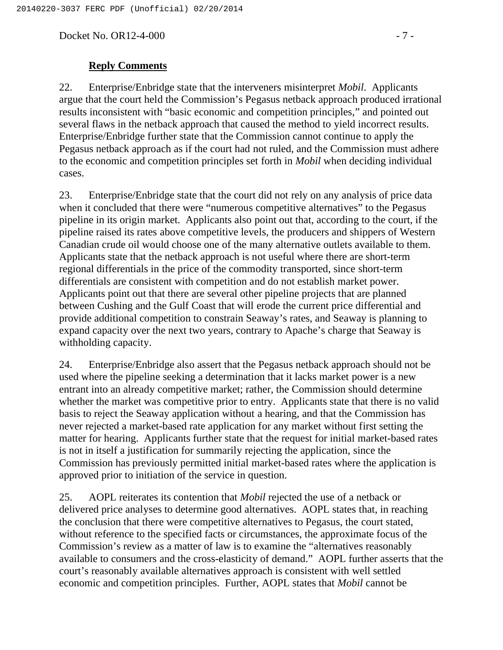Docket No. OR12-4-000 - 7 -

### **Reply Comments**

22. Enterprise/Enbridge state that the interveners misinterpret *Mobil*. Applicants argue that the court held the Commission's Pegasus netback approach produced irrational results inconsistent with "basic economic and competition principles," and pointed out several flaws in the netback approach that caused the method to yield incorrect results. Enterprise/Enbridge further state that the Commission cannot continue to apply the Pegasus netback approach as if the court had not ruled, and the Commission must adhere to the economic and competition principles set forth in *Mobil* when deciding individual cases.

23. Enterprise/Enbridge state that the court did not rely on any analysis of price data when it concluded that there were "numerous competitive alternatives" to the Pegasus pipeline in its origin market. Applicants also point out that, according to the court, if the pipeline raised its rates above competitive levels, the producers and shippers of Western Canadian crude oil would choose one of the many alternative outlets available to them. Applicants state that the netback approach is not useful where there are short-term regional differentials in the price of the commodity transported, since short-term differentials are consistent with competition and do not establish market power. Applicants point out that there are several other pipeline projects that are planned between Cushing and the Gulf Coast that will erode the current price differential and provide additional competition to constrain Seaway's rates, and Seaway is planning to expand capacity over the next two years, contrary to Apache's charge that Seaway is withholding capacity.

24. Enterprise/Enbridge also assert that the Pegasus netback approach should not be used where the pipeline seeking a determination that it lacks market power is a new entrant into an already competitive market; rather, the Commission should determine whether the market was competitive prior to entry. Applicants state that there is no valid basis to reject the Seaway application without a hearing, and that the Commission has never rejected a market-based rate application for any market without first setting the matter for hearing. Applicants further state that the request for initial market-based rates is not in itself a justification for summarily rejecting the application, since the Commission has previously permitted initial market-based rates where the application is approved prior to initiation of the service in question.

25. AOPL reiterates its contention that *Mobil* rejected the use of a netback or delivered price analyses to determine good alternatives. AOPL states that, in reaching the conclusion that there were competitive alternatives to Pegasus, the court stated, without reference to the specified facts or circumstances, the approximate focus of the Commission's review as a matter of law is to examine the "alternatives reasonably available to consumers and the cross-elasticity of demand." AOPL further asserts that the court's reasonably available alternatives approach is consistent with well settled economic and competition principles. Further, AOPL states that *Mobil* cannot be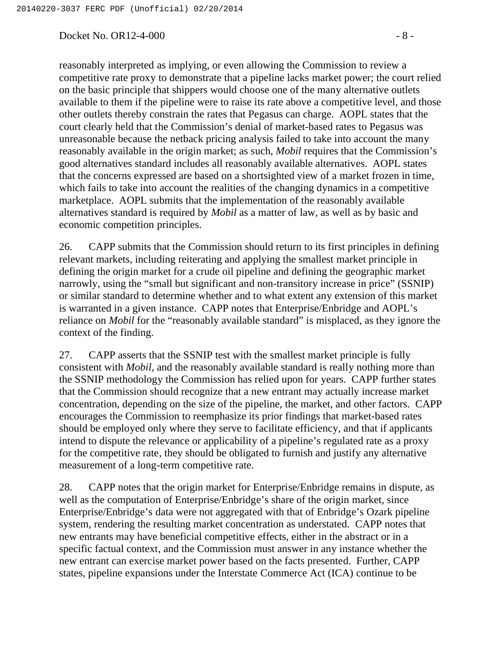#### Docket No. OR12-4-000 - 8 -

reasonably interpreted as implying, or even allowing the Commission to review a competitive rate proxy to demonstrate that a pipeline lacks market power; the court relied on the basic principle that shippers would choose one of the many alternative outlets available to them if the pipeline were to raise its rate above a competitive level, and those other outlets thereby constrain the rates that Pegasus can charge. AOPL states that the court clearly held that the Commission's denial of market-based rates to Pegasus was unreasonable because the netback pricing analysis failed to take into account the many reasonably available in the origin market; as such, *Mobil* requires that the Commission's good alternatives standard includes all reasonably available alternatives. AOPL states that the concerns expressed are based on a shortsighted view of a market frozen in time, which fails to take into account the realities of the changing dynamics in a competitive marketplace. AOPL submits that the implementation of the reasonably available alternatives standard is required by *Mobil* as a matter of law, as well as by basic and economic competition principles.

26. CAPP submits that the Commission should return to its first principles in defining relevant markets, including reiterating and applying the smallest market principle in defining the origin market for a crude oil pipeline and defining the geographic market narrowly, using the "small but significant and non-transitory increase in price" (SSNIP) or similar standard to determine whether and to what extent any extension of this market is warranted in a given instance. CAPP notes that Enterprise/Enbridge and AOPL's reliance on *Mobil* for the "reasonably available standard" is misplaced, as they ignore the context of the finding.

27. CAPP asserts that the SSNIP test with the smallest market principle is fully consistent with *Mobil*, and the reasonably available standard is really nothing more than the SSNIP methodology the Commission has relied upon for years. CAPP further states that the Commission should recognize that a new entrant may actually increase market concentration, depending on the size of the pipeline, the market, and other factors. CAPP encourages the Commission to reemphasize its prior findings that market-based rates should be employed only where they serve to facilitate efficiency, and that if applicants intend to dispute the relevance or applicability of a pipeline's regulated rate as a proxy for the competitive rate, they should be obligated to furnish and justify any alternative measurement of a long-term competitive rate.

28. CAPP notes that the origin market for Enterprise/Enbridge remains in dispute, as well as the computation of Enterprise/Enbridge's share of the origin market, since Enterprise/Enbridge's data were not aggregated with that of Enbridge's Ozark pipeline system, rendering the resulting market concentration as understated. CAPP notes that new entrants may have beneficial competitive effects, either in the abstract or in a specific factual context, and the Commission must answer in any instance whether the new entrant can exercise market power based on the facts presented. Further, CAPP states, pipeline expansions under the Interstate Commerce Act (ICA) continue to be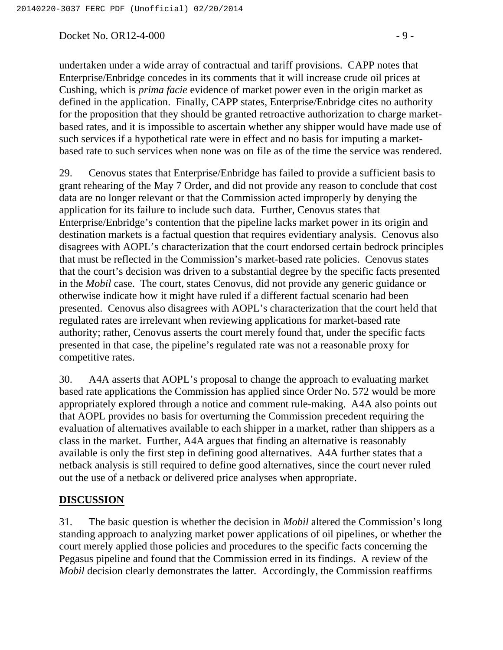$Docket No. OR12-4-000$  - 9 -

undertaken under a wide array of contractual and tariff provisions. CAPP notes that Enterprise/Enbridge concedes in its comments that it will increase crude oil prices at Cushing, which is *prima facie* evidence of market power even in the origin market as defined in the application. Finally, CAPP states, Enterprise/Enbridge cites no authority for the proposition that they should be granted retroactive authorization to charge marketbased rates, and it is impossible to ascertain whether any shipper would have made use of such services if a hypothetical rate were in effect and no basis for imputing a marketbased rate to such services when none was on file as of the time the service was rendered.

29. Cenovus states that Enterprise/Enbridge has failed to provide a sufficient basis to grant rehearing of the May 7 Order, and did not provide any reason to conclude that cost data are no longer relevant or that the Commission acted improperly by denying the application for its failure to include such data. Further, Cenovus states that Enterprise/Enbridge's contention that the pipeline lacks market power in its origin and destination markets is a factual question that requires evidentiary analysis. Cenovus also disagrees with AOPL's characterization that the court endorsed certain bedrock principles that must be reflected in the Commission's market-based rate policies. Cenovus states that the court's decision was driven to a substantial degree by the specific facts presented in the *Mobil* case. The court, states Cenovus, did not provide any generic guidance or otherwise indicate how it might have ruled if a different factual scenario had been presented. Cenovus also disagrees with AOPL's characterization that the court held that regulated rates are irrelevant when reviewing applications for market-based rate authority; rather, Cenovus asserts the court merely found that, under the specific facts presented in that case, the pipeline's regulated rate was not a reasonable proxy for competitive rates.

30. A4A asserts that AOPL's proposal to change the approach to evaluating market based rate applications the Commission has applied since Order No. 572 would be more appropriately explored through a notice and comment rule-making. A4A also points out that AOPL provides no basis for overturning the Commission precedent requiring the evaluation of alternatives available to each shipper in a market, rather than shippers as a class in the market. Further, A4A argues that finding an alternative is reasonably available is only the first step in defining good alternatives. A4A further states that a netback analysis is still required to define good alternatives, since the court never ruled out the use of a netback or delivered price analyses when appropriate.

## **DISCUSSION**

31. The basic question is whether the decision in *Mobil* altered the Commission's long standing approach to analyzing market power applications of oil pipelines, or whether the court merely applied those policies and procedures to the specific facts concerning the Pegasus pipeline and found that the Commission erred in its findings. A review of the *Mobil* decision clearly demonstrates the latter. Accordingly, the Commission reaffirms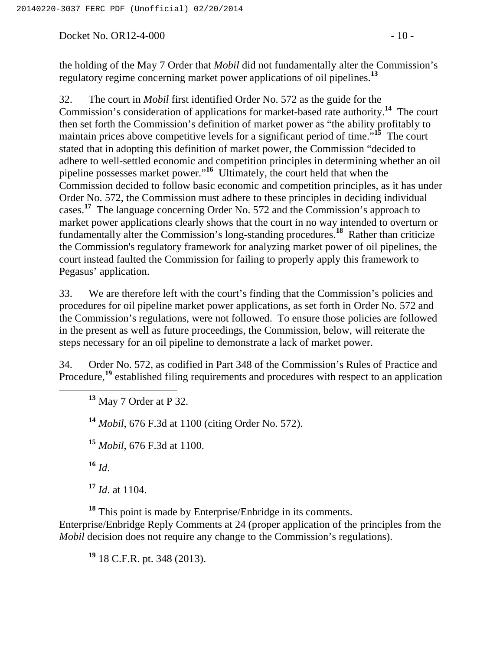Docket No. OR12-4-000 - 10 -

the holding of the May 7 Order that *Mobil* did not fundamentally alter the Commission's regulatory regime concerning market power applications of oil pipelines.**<sup>13</sup>**

32. The court in *Mobil* first identified Order No. 572 as the guide for the Commission's consideration of applications for market-based rate authority.**<sup>14</sup>** The court then set forth the Commission's definition of market power as "the ability profitably to maintain prices above competitive levels for a significant period of time.<sup>513</sup> The court stated that in adopting this definition of market power, the Commission "decided to adhere to well-settled economic and competition principles in determining whether an oil pipeline possesses market power."**<sup>16</sup>** Ultimately, the court held that when the Commission decided to follow basic economic and competition principles, as it has under Order No. 572, the Commission must adhere to these principles in deciding individual cases.<sup>17</sup> The language concerning Order No. 572 and the Commission's approach to market power applications clearly shows that the court in no way intended to overturn or fundamentally alter the Commission's long-standing procedures.**<sup>18</sup>** Rather than criticize the Commission's regulatory framework for analyzing market power of oil pipelines, the court instead faulted the Commission for failing to properly apply this framework to Pegasus' application.

33. We are therefore left with the court's finding that the Commission's policies and procedures for oil pipeline market power applications, as set forth in Order No. 572 and the Commission's regulations, were not followed. To ensure those policies are followed in the present as well as future proceedings, the Commission, below, will reiterate the steps necessary for an oil pipeline to demonstrate a lack of market power.

34. Order No. 572, as codified in Part 348 of the Commission's Rules of Practice and Procedure,<sup>19</sup> established filing requirements and procedures with respect to an application

**<sup>13</sup>** May 7 Order at P 32.

**<sup>14</sup>** *Mobil*, 676 F.3d at 1100 (citing Order No. 572).

**<sup>15</sup>** *Mobil*, 676 F.3d at 1100.

 $^{16}$  *Id.* 

**<sup>17</sup>** *Id*. at 1104.

**<sup>18</sup>** This point is made by Enterprise/Enbridge in its comments. Enterprise/Enbridge Reply Comments at 24 (proper application of the principles from the *Mobil* decision does not require any change to the Commission's regulations).

**<sup>19</sup>** 18 C.F.R. pt. 348 (2013).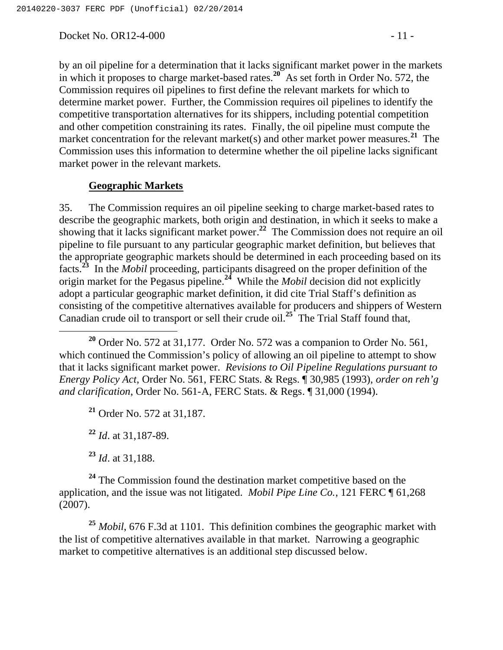Docket No. OR12-4-000 - 11 -

by an oil pipeline for a determination that it lacks significant market power in the markets in which it proposes to charge market-based rates.**<sup>20</sup>** As set forth in Order No. 572, the Commission requires oil pipelines to first define the relevant markets for which to determine market power. Further, the Commission requires oil pipelines to identify the competitive transportation alternatives for its shippers, including potential competition and other competition constraining its rates. Finally, the oil pipeline must compute the market concentration for the relevant market(s) and other market power measures.<sup>21</sup> The Commission uses this information to determine whether the oil pipeline lacks significant market power in the relevant markets.

### **Geographic Markets**

35. The Commission requires an oil pipeline seeking to charge market-based rates to describe the geographic markets, both origin and destination, in which it seeks to make a showing that it lacks significant market power.**<sup>22</sup>** The Commission does not require an oil pipeline to file pursuant to any particular geographic market definition, but believes that the appropriate geographic markets should be determined in each proceeding based on its facts.**<sup>23</sup>** In the *Mobil* proceeding, participants disagreed on the proper definition of the origin market for the Pegasus pipeline.**<sup>24</sup>** While the *Mobil* decision did not explicitly adopt a particular geographic market definition, it did cite Trial Staff's definition as consisting of the competitive alternatives available for producers and shippers of Western Canadian crude oil to transport or sell their crude oil.**<sup>25</sup>** The Trial Staff found that,

**<sup>21</sup>** Order No. 572 at 31,187.

**<sup>22</sup>** *Id*. at 31,187-89.

**<sup>23</sup>** *Id*. at 31,188.

<sup>24</sup> The Commission found the destination market competitive based on the application, and the issue was not litigated. *Mobil Pipe Line Co.*, 121 FERC ¶ 61,268 (2007).

**<sup>25</sup>** *Mobil*, 676 F.3d at 1101. This definition combines the geographic market with the list of competitive alternatives available in that market. Narrowing a geographic market to competitive alternatives is an additional step discussed below.

**<sup>20</sup>** Order No. 572 at 31,177. Order No. 572 was a companion to Order No. 561, which continued the Commission's policy of allowing an oil pipeline to attempt to show that it lacks significant market power. *Revisions to Oil Pipeline Regulations pursuant to Energy Policy Act*, Order No. 561, FERC Stats. & Regs. ¶ 30,985 (1993), *order on reh'g and clarification*, Order No. 561-A, FERC Stats. & Regs. ¶ 31,000 (1994).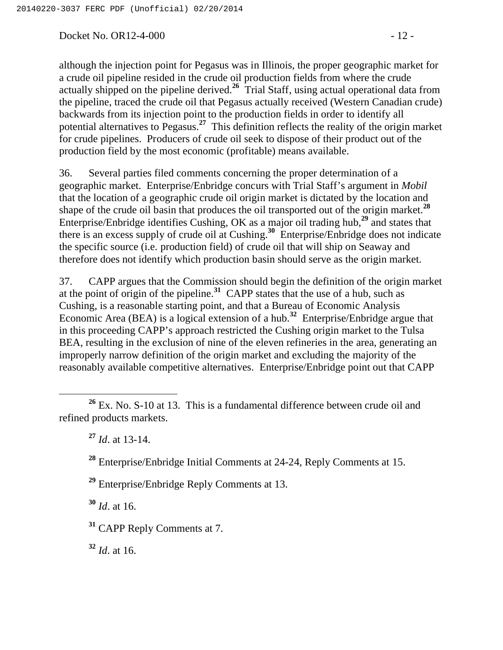Docket No. OR12-4-000 - 12 -

although the injection point for Pegasus was in Illinois, the proper geographic market for a crude oil pipeline resided in the crude oil production fields from where the crude actually shipped on the pipeline derived.**<sup>26</sup>** Trial Staff, using actual operational data from the pipeline, traced the crude oil that Pegasus actually received (Western Canadian crude) backwards from its injection point to the production fields in order to identify all potential alternatives to Pegasus.**<sup>27</sup>** This definition reflects the reality of the origin market for crude pipelines. Producers of crude oil seek to dispose of their product out of the production field by the most economic (profitable) means available.

36. Several parties filed comments concerning the proper determination of a geographic market. Enterprise/Enbridge concurs with Trial Staff's argument in *Mobil* that the location of a geographic crude oil origin market is dictated by the location and shape of the crude oil basin that produces the oil transported out of the origin market.**<sup>28</sup>** Enterprise/Enbridge identifies Cushing, OK as a major oil trading hub,**<sup>29</sup>** and states that there is an excess supply of crude oil at Cushing.**<sup>30</sup>** Enterprise/Enbridge does not indicate the specific source (i.e. production field) of crude oil that will ship on Seaway and therefore does not identify which production basin should serve as the origin market.

37. CAPP argues that the Commission should begin the definition of the origin market at the point of origin of the pipeline.**<sup>31</sup>** CAPP states that the use of a hub, such as Cushing, is a reasonable starting point, and that a Bureau of Economic Analysis Economic Area (BEA) is a logical extension of a hub.**<sup>32</sup>** Enterprise/Enbridge argue that in this proceeding CAPP's approach restricted the Cushing origin market to the Tulsa BEA, resulting in the exclusion of nine of the eleven refineries in the area, generating an improperly narrow definition of the origin market and excluding the majority of the reasonably available competitive alternatives. Enterprise/Enbridge point out that CAPP

**<sup>29</sup>** Enterprise/Enbridge Reply Comments at 13.

**<sup>30</sup>** *Id*. at 16.

**<sup>32</sup>** *Id*. at 16.

**<sup>26</sup>** Ex. No. S-10 at 13. This is a fundamental difference between crude oil and refined products markets.

**<sup>27</sup>** *Id*. at 13-14.

**<sup>28</sup>** Enterprise/Enbridge Initial Comments at 24-24, Reply Comments at 15.

**<sup>31</sup>** CAPP Reply Comments at 7.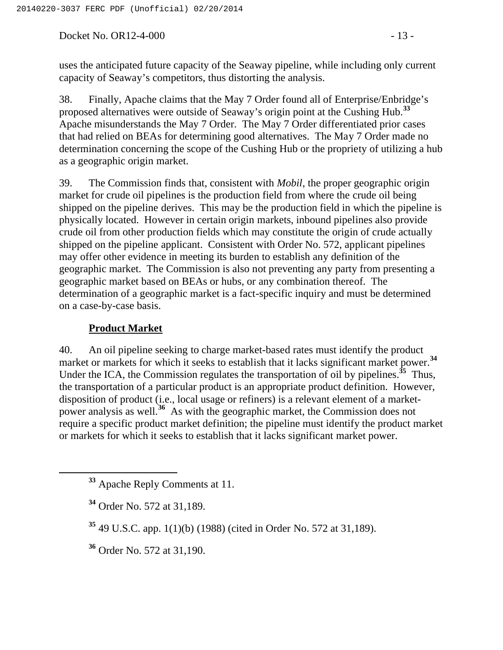Docket No. OR12-4-000 - 13 -

uses the anticipated future capacity of the Seaway pipeline, while including only current capacity of Seaway's competitors, thus distorting the analysis.

38. Finally, Apache claims that the May 7 Order found all of Enterprise/Enbridge's proposed alternatives were outside of Seaway's origin point at the Cushing Hub.**<sup>33</sup>** Apache misunderstands the May 7 Order. The May 7 Order differentiated prior cases that had relied on BEAs for determining good alternatives. The May 7 Order made no determination concerning the scope of the Cushing Hub or the propriety of utilizing a hub as a geographic origin market.

39. The Commission finds that, consistent with *Mobil*, the proper geographic origin market for crude oil pipelines is the production field from where the crude oil being shipped on the pipeline derives. This may be the production field in which the pipeline is physically located. However in certain origin markets, inbound pipelines also provide crude oil from other production fields which may constitute the origin of crude actually shipped on the pipeline applicant. Consistent with Order No. 572, applicant pipelines may offer other evidence in meeting its burden to establish any definition of the geographic market. The Commission is also not preventing any party from presenting a geographic market based on BEAs or hubs, or any combination thereof. The determination of a geographic market is a fact-specific inquiry and must be determined on a case-by-case basis.

## **Product Market**

40. An oil pipeline seeking to charge market-based rates must identify the product market or markets for which it seeks to establish that it lacks significant market power.<sup>34</sup> Under the ICA, the Commission regulates the transportation of oil by pipelines.**<sup>35</sup>** Thus, the transportation of a particular product is an appropriate product definition. However, disposition of product (i.e., local usage or refiners) is a relevant element of a marketpower analysis as well.**<sup>36</sup>** As with the geographic market, the Commission does not require a specific product market definition; the pipeline must identify the product market or markets for which it seeks to establish that it lacks significant market power.

**<sup>36</sup>** Order No. 572 at 31,190.

**<sup>33</sup>** Apache Reply Comments at 11.

**<sup>34</sup>** Order No. 572 at 31,189.

**<sup>35</sup>** 49 U.S.C. app. 1(1)(b) (1988) (cited in Order No. 572 at 31,189).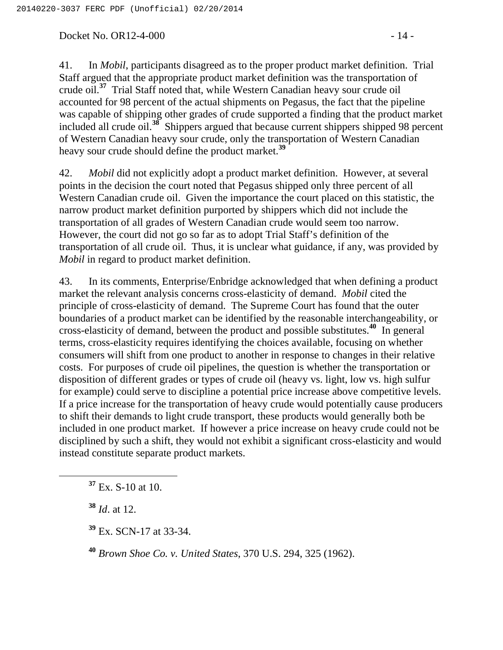Docket No. OR12-4-000 - 14 -

41. In *Mobil*, participants disagreed as to the proper product market definition. Trial Staff argued that the appropriate product market definition was the transportation of crude oil.**<sup>37</sup>** Trial Staff noted that, while Western Canadian heavy sour crude oil accounted for 98 percent of the actual shipments on Pegasus, the fact that the pipeline was capable of shipping other grades of crude supported a finding that the product market included all crude oil.**<sup>38</sup>** Shippers argued that because current shippers shipped 98 percent of Western Canadian heavy sour crude, only the transportation of Western Canadian heavy sour crude should define the product market.**<sup>39</sup>**

42. *Mobil* did not explicitly adopt a product market definition. However, at several points in the decision the court noted that Pegasus shipped only three percent of all Western Canadian crude oil. Given the importance the court placed on this statistic, the narrow product market definition purported by shippers which did not include the transportation of all grades of Western Canadian crude would seem too narrow. However, the court did not go so far as to adopt Trial Staff's definition of the transportation of all crude oil. Thus, it is unclear what guidance, if any, was provided by *Mobil* in regard to product market definition.

43. In its comments, Enterprise/Enbridge acknowledged that when defining a product market the relevant analysis concerns cross-elasticity of demand. *Mobil* cited the principle of cross-elasticity of demand. The Supreme Court has found that the outer boundaries of a product market can be identified by the reasonable interchangeability, or cross-elasticity of demand, between the product and possible substitutes.**<sup>40</sup>** In general terms, cross-elasticity requires identifying the choices available, focusing on whether consumers will shift from one product to another in response to changes in their relative costs. For purposes of crude oil pipelines, the question is whether the transportation or disposition of different grades or types of crude oil (heavy vs. light, low vs. high sulfur for example) could serve to discipline a potential price increase above competitive levels. If a price increase for the transportation of heavy crude would potentially cause producers to shift their demands to light crude transport, these products would generally both be included in one product market. If however a price increase on heavy crude could not be disciplined by such a shift, they would not exhibit a significant cross-elasticity and would instead constitute separate product markets.

**<sup>37</sup>** Ex. S-10 at 10.

**<sup>38</sup>** *Id*. at 12.

**<sup>39</sup>** Ex. SCN-17 at 33-34.

**<sup>40</sup>** *Brown Shoe Co. v. United States*, 370 U.S. 294, 325 (1962).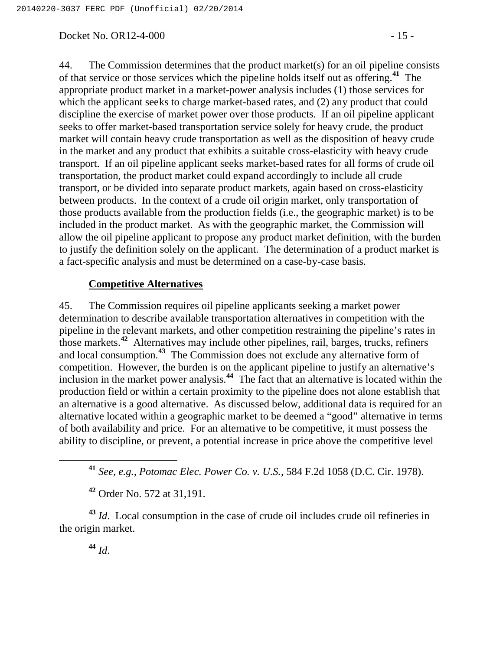Docket No. OR12-4-000 - 15 -

44. The Commission determines that the product market(s) for an oil pipeline consists of that service or those services which the pipeline holds itself out as offering.**<sup>41</sup>** The appropriate product market in a market-power analysis includes (1) those services for which the applicant seeks to charge market-based rates, and (2) any product that could discipline the exercise of market power over those products. If an oil pipeline applicant seeks to offer market-based transportation service solely for heavy crude, the product market will contain heavy crude transportation as well as the disposition of heavy crude in the market and any product that exhibits a suitable cross-elasticity with heavy crude transport. If an oil pipeline applicant seeks market-based rates for all forms of crude oil transportation, the product market could expand accordingly to include all crude transport, or be divided into separate product markets, again based on cross-elasticity between products. In the context of a crude oil origin market, only transportation of those products available from the production fields (i.e., the geographic market) is to be included in the product market. As with the geographic market, the Commission will allow the oil pipeline applicant to propose any product market definition, with the burden to justify the definition solely on the applicant. The determination of a product market is a fact-specific analysis and must be determined on a case-by-case basis.

### **Competitive Alternatives**

45. The Commission requires oil pipeline applicants seeking a market power determination to describe available transportation alternatives in competition with the pipeline in the relevant markets, and other competition restraining the pipeline's rates in those markets.**<sup>42</sup>** Alternatives may include other pipelines, rail, barges, trucks, refiners and local consumption.**<sup>43</sup>** The Commission does not exclude any alternative form of competition. However, the burden is on the applicant pipeline to justify an alternative's inclusion in the market power analysis.**<sup>44</sup>** The fact that an alternative is located within the production field or within a certain proximity to the pipeline does not alone establish that an alternative is a good alternative. As discussed below, additional data is required for an alternative located within a geographic market to be deemed a "good" alternative in terms of both availability and price. For an alternative to be competitive, it must possess the ability to discipline, or prevent, a potential increase in price above the competitive level

**<sup>41</sup>** *See, e.g., Potomac Elec. Power Co. v. U.S.*, 584 F.2d 1058 (D.C. Cir. 1978).

**<sup>42</sup>** Order No. 572 at 31,191.

**<sup>43</sup>** *Id*. Local consumption in the case of crude oil includes crude oil refineries in the origin market.

**<sup>44</sup>** *Id*.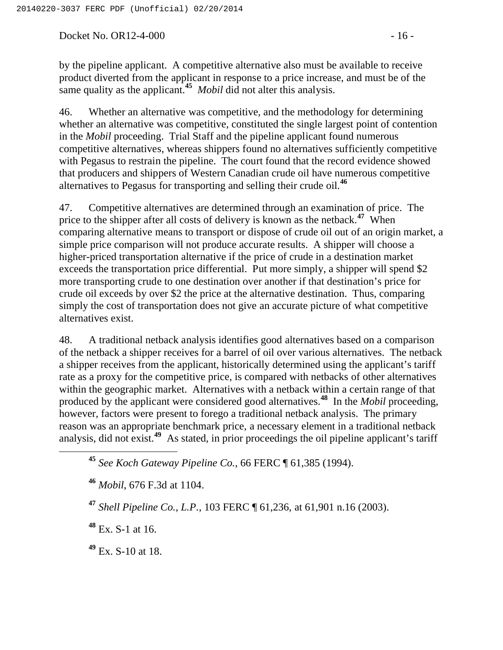Docket No. OR12-4-000 - 16 -

by the pipeline applicant. A competitive alternative also must be available to receive product diverted from the applicant in response to a price increase, and must be of the same quality as the applicant.**<sup>45</sup>** *Mobil* did not alter this analysis.

46. Whether an alternative was competitive, and the methodology for determining whether an alternative was competitive, constituted the single largest point of contention in the *Mobil* proceeding. Trial Staff and the pipeline applicant found numerous competitive alternatives, whereas shippers found no alternatives sufficiently competitive with Pegasus to restrain the pipeline. The court found that the record evidence showed that producers and shippers of Western Canadian crude oil have numerous competitive alternatives to Pegasus for transporting and selling their crude oil.**<sup>46</sup>**

47. Competitive alternatives are determined through an examination of price. The price to the shipper after all costs of delivery is known as the netback.**<sup>47</sup>** When comparing alternative means to transport or dispose of crude oil out of an origin market, a simple price comparison will not produce accurate results. A shipper will choose a higher-priced transportation alternative if the price of crude in a destination market exceeds the transportation price differential. Put more simply, a shipper will spend \$2 more transporting crude to one destination over another if that destination's price for crude oil exceeds by over \$2 the price at the alternative destination. Thus, comparing simply the cost of transportation does not give an accurate picture of what competitive alternatives exist.

48. A traditional netback analysis identifies good alternatives based on a comparison of the netback a shipper receives for a barrel of oil over various alternatives. The netback a shipper receives from the applicant, historically determined using the applicant's tariff rate as a proxy for the competitive price, is compared with netbacks of other alternatives within the geographic market. Alternatives with a netback within a certain range of that produced by the applicant were considered good alternatives.<sup>48</sup> In the *Mobil* proceeding, however, factors were present to forego a traditional netback analysis. The primary reason was an appropriate benchmark price, a necessary element in a traditional netback analysis, did not exist.**<sup>49</sup>** As stated, in prior proceedings the oil pipeline applicant's tariff

**<sup>45</sup>** *See Koch Gateway Pipeline Co.*, 66 FERC ¶ 61,385 (1994).

**<sup>46</sup>** *Mobil*, 676 F.3d at 1104.

**<sup>47</sup>** *Shell Pipeline Co., L.P.*, 103 FERC ¶ 61,236, at 61,901 n.16 (2003).

**<sup>48</sup>** Ex. S-1 at 16.

**<sup>49</sup>** Ex. S-10 at 18.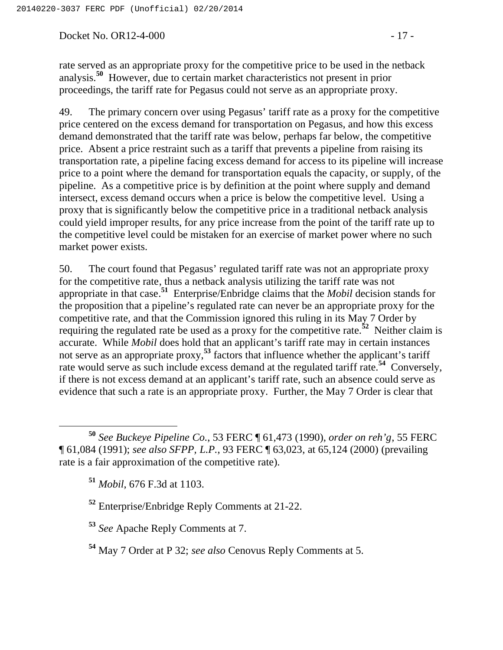Docket No. OR12-4-000 - 17 -

rate served as an appropriate proxy for the competitive price to be used in the netback analysis.**<sup>50</sup>** However, due to certain market characteristics not present in prior proceedings, the tariff rate for Pegasus could not serve as an appropriate proxy.

49. The primary concern over using Pegasus' tariff rate as a proxy for the competitive price centered on the excess demand for transportation on Pegasus, and how this excess demand demonstrated that the tariff rate was below, perhaps far below, the competitive price. Absent a price restraint such as a tariff that prevents a pipeline from raising its transportation rate, a pipeline facing excess demand for access to its pipeline will increase price to a point where the demand for transportation equals the capacity, or supply, of the pipeline. As a competitive price is by definition at the point where supply and demand intersect, excess demand occurs when a price is below the competitive level. Using a proxy that is significantly below the competitive price in a traditional netback analysis could yield improper results, for any price increase from the point of the tariff rate up to the competitive level could be mistaken for an exercise of market power where no such market power exists.

50. The court found that Pegasus' regulated tariff rate was not an appropriate proxy for the competitive rate, thus a netback analysis utilizing the tariff rate was not appropriate in that case.**<sup>51</sup>** Enterprise/Enbridge claims that the *Mobil* decision stands for the proposition that a pipeline's regulated rate can never be an appropriate proxy for the competitive rate, and that the Commission ignored this ruling in its May 7 Order by requiring the regulated rate be used as a proxy for the competitive rate.**<sup>52</sup>** Neither claim is accurate. While *Mobil* does hold that an applicant's tariff rate may in certain instances not serve as an appropriate proxy,<sup>53</sup> factors that influence whether the applicant's tariff rate would serve as such include excess demand at the regulated tariff rate.**<sup>54</sup>** Conversely, if there is not excess demand at an applicant's tariff rate, such an absence could serve as evidence that such a rate is an appropriate proxy. Further, the May 7 Order is clear that

 **<sup>50</sup>** *See Buckeye Pipeline Co.*, 53 FERC ¶ 61,473 (1990), *order on reh'g*, 55 FERC ¶ 61,084 (1991); *see also SFPP, L.P.*, 93 FERC ¶ 63,023, at 65,124 (2000) (prevailing rate is a fair approximation of the competitive rate).

**<sup>51</sup>** *Mobil*, 676 F.3d at 1103.

**<sup>53</sup>** *See* Apache Reply Comments at 7.

**<sup>54</sup>** May 7 Order at P 32; *see also* Cenovus Reply Comments at 5.

**<sup>52</sup>** Enterprise/Enbridge Reply Comments at 21-22.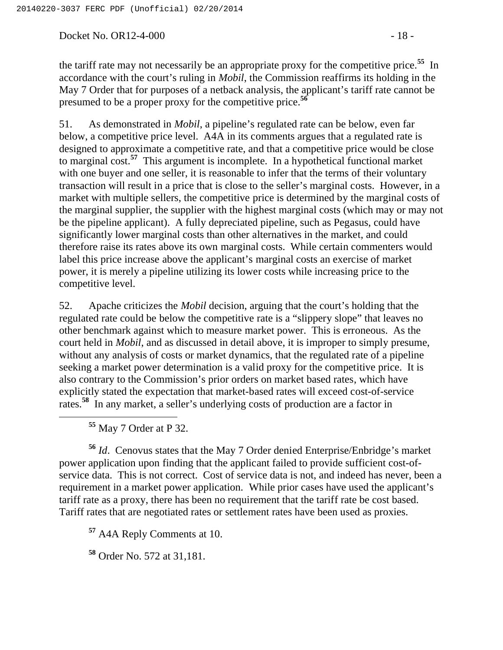Docket No. OR12-4-000 - 18 -

the tariff rate may not necessarily be an appropriate proxy for the competitive price.**<sup>55</sup>** In accordance with the court's ruling in *Mobil*, the Commission reaffirms its holding in the May 7 Order that for purposes of a netback analysis, the applicant's tariff rate cannot be presumed to be a proper proxy for the competitive price.**<sup>56</sup>**

51. As demonstrated in *Mobil*, a pipeline's regulated rate can be below, even far below, a competitive price level. A4A in its comments argues that a regulated rate is designed to approximate a competitive rate, and that a competitive price would be close to marginal cost.**<sup>57</sup>** This argument is incomplete. In a hypothetical functional market with one buyer and one seller, it is reasonable to infer that the terms of their voluntary transaction will result in a price that is close to the seller's marginal costs. However, in a market with multiple sellers, the competitive price is determined by the marginal costs of the marginal supplier, the supplier with the highest marginal costs (which may or may not be the pipeline applicant). A fully depreciated pipeline, such as Pegasus, could have significantly lower marginal costs than other alternatives in the market, and could therefore raise its rates above its own marginal costs. While certain commenters would label this price increase above the applicant's marginal costs an exercise of market power, it is merely a pipeline utilizing its lower costs while increasing price to the competitive level.

52. Apache criticizes the *Mobil* decision, arguing that the court's holding that the regulated rate could be below the competitive rate is a "slippery slope" that leaves no other benchmark against which to measure market power. This is erroneous. As the court held in *Mobil*, and as discussed in detail above, it is improper to simply presume, without any analysis of costs or market dynamics, that the regulated rate of a pipeline seeking a market power determination is a valid proxy for the competitive price. It is also contrary to the Commission's prior orders on market based rates, which have explicitly stated the expectation that market-based rates will exceed cost-of-service rates.<sup>58</sup> In any market, a seller's underlying costs of production are a factor in

**<sup>55</sup>** May 7 Order at P 32.

**<sup>56</sup>** *Id*. Cenovus states that the May 7 Order denied Enterprise/Enbridge's market power application upon finding that the applicant failed to provide sufficient cost-ofservice data. This is not correct. Cost of service data is not, and indeed has never, been a requirement in a market power application. While prior cases have used the applicant's tariff rate as a proxy, there has been no requirement that the tariff rate be cost based. Tariff rates that are negotiated rates or settlement rates have been used as proxies.

**<sup>57</sup>** A4A Reply Comments at 10.

**<sup>58</sup>** Order No. 572 at 31,181.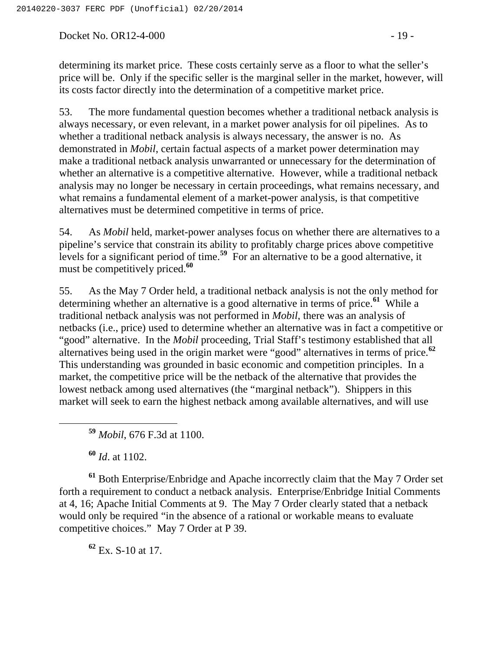Docket No. OR12-4-000 - 19 -

determining its market price. These costs certainly serve as a floor to what the seller's price will be. Only if the specific seller is the marginal seller in the market, however, will its costs factor directly into the determination of a competitive market price.

53. The more fundamental question becomes whether a traditional netback analysis is always necessary, or even relevant, in a market power analysis for oil pipelines. As to whether a traditional netback analysis is always necessary, the answer is no. As demonstrated in *Mobil*, certain factual aspects of a market power determination may make a traditional netback analysis unwarranted or unnecessary for the determination of whether an alternative is a competitive alternative. However, while a traditional netback analysis may no longer be necessary in certain proceedings, what remains necessary, and what remains a fundamental element of a market-power analysis, is that competitive alternatives must be determined competitive in terms of price.

54. As *Mobil* held, market-power analyses focus on whether there are alternatives to a pipeline's service that constrain its ability to profitably charge prices above competitive levels for a significant period of time.<sup>59</sup> For an alternative to be a good alternative, it must be competitively priced.**<sup>60</sup>**

55. As the May 7 Order held, a traditional netback analysis is not the only method for determining whether an alternative is a good alternative in terms of price.**<sup>61</sup>** While a traditional netback analysis was not performed in *Mobil*, there was an analysis of netbacks (i.e., price) used to determine whether an alternative was in fact a competitive or "good" alternative. In the *Mobil* proceeding, Trial Staff's testimony established that all alternatives being used in the origin market were "good" alternatives in terms of price.**<sup>62</sup>** This understanding was grounded in basic economic and competition principles. In a market, the competitive price will be the netback of the alternative that provides the lowest netback among used alternatives (the "marginal netback"). Shippers in this market will seek to earn the highest netback among available alternatives, and will use

**<sup>60</sup>** *Id*. at 1102.

**<sup>61</sup>** Both Enterprise/Enbridge and Apache incorrectly claim that the May 7 Order set forth a requirement to conduct a netback analysis. Enterprise/Enbridge Initial Comments at 4, 16; Apache Initial Comments at 9. The May 7 Order clearly stated that a netback would only be required "in the absence of a rational or workable means to evaluate competitive choices." May 7 Order at P 39.

**<sup>62</sup>** Ex. S-10 at 17.

**<sup>59</sup>** *Mobil*, 676 F.3d at 1100.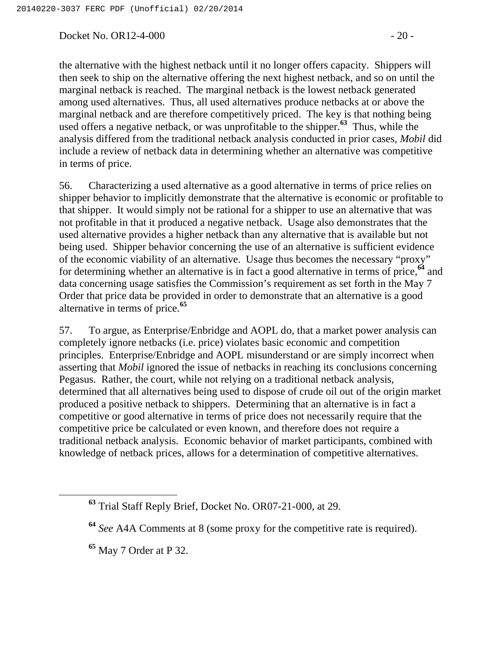Docket No. OR12-4-000 - 20 -

the alternative with the highest netback until it no longer offers capacity. Shippers will then seek to ship on the alternative offering the next highest netback, and so on until the marginal netback is reached. The marginal netback is the lowest netback generated among used alternatives. Thus, all used alternatives produce netbacks at or above the marginal netback and are therefore competitively priced. The key is that nothing being used offers a negative netback, or was unprofitable to the shipper.**<sup>63</sup>** Thus, while the analysis differed from the traditional netback analysis conducted in prior cases, *Mobil* did include a review of netback data in determining whether an alternative was competitive in terms of price.

56. Characterizing a used alternative as a good alternative in terms of price relies on shipper behavior to implicitly demonstrate that the alternative is economic or profitable to that shipper. It would simply not be rational for a shipper to use an alternative that was not profitable in that it produced a negative netback. Usage also demonstrates that the used alternative provides a higher netback than any alternative that is available but not being used. Shipper behavior concerning the use of an alternative is sufficient evidence of the economic viability of an alternative. Usage thus becomes the necessary "proxy" for determining whether an alternative is in fact a good alternative in terms of price,**<sup>64</sup>** and data concerning usage satisfies the Commission's requirement as set forth in the May 7 Order that price data be provided in order to demonstrate that an alternative is a good alternative in terms of price.**<sup>65</sup>**

57. To argue, as Enterprise/Enbridge and AOPL do, that a market power analysis can completely ignore netbacks (i.e. price) violates basic economic and competition principles. Enterprise/Enbridge and AOPL misunderstand or are simply incorrect when asserting that *Mobil* ignored the issue of netbacks in reaching its conclusions concerning Pegasus. Rather, the court, while not relying on a traditional netback analysis, determined that all alternatives being used to dispose of crude oil out of the origin market produced a positive netback to shippers. Determining that an alternative is in fact a competitive or good alternative in terms of price does not necessarily require that the competitive price be calculated or even known, and therefore does not require a traditional netback analysis. Economic behavior of market participants, combined with knowledge of netback prices, allows for a determination of competitive alternatives.

**<sup>63</sup>** Trial Staff Reply Brief, Docket No. OR07-21-000, at 29.

**<sup>64</sup>** *See* A4A Comments at 8 (some proxy for the competitive rate is required).

**<sup>65</sup>** May 7 Order at P 32.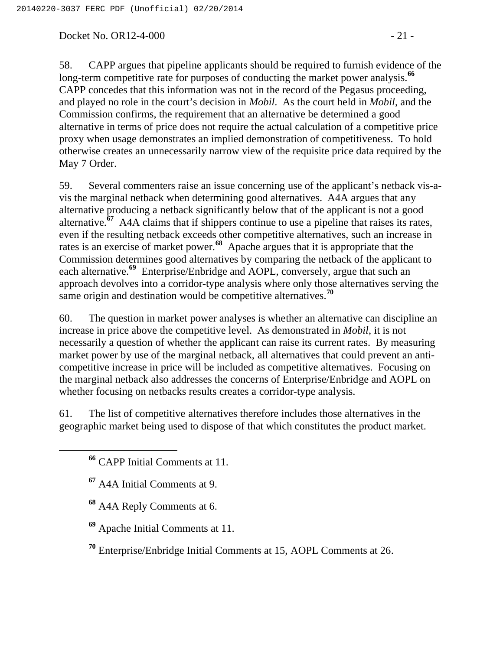Docket No. OR12-4-000 - 21 -

58. CAPP argues that pipeline applicants should be required to furnish evidence of the long-term competitive rate for purposes of conducting the market power analysis.<sup>66</sup> CAPP concedes that this information was not in the record of the Pegasus proceeding, and played no role in the court's decision in *Mobil*. As the court held in *Mobil*, and the Commission confirms, the requirement that an alternative be determined a good alternative in terms of price does not require the actual calculation of a competitive price proxy when usage demonstrates an implied demonstration of competitiveness. To hold otherwise creates an unnecessarily narrow view of the requisite price data required by the May 7 Order.

59. Several commenters raise an issue concerning use of the applicant's netback vis-avis the marginal netback when determining good alternatives. A4A argues that any alternative producing a netback significantly below that of the applicant is not a good alternative.**<sup>67</sup>** A4A claims that if shippers continue to use a pipeline that raises its rates, even if the resulting netback exceeds other competitive alternatives, such an increase in rates is an exercise of market power.**<sup>68</sup>** Apache argues that it is appropriate that the Commission determines good alternatives by comparing the netback of the applicant to each alternative.**<sup>69</sup>** Enterprise/Enbridge and AOPL, conversely, argue that such an approach devolves into a corridor-type analysis where only those alternatives serving the same origin and destination would be competitive alternatives.**<sup>70</sup>**

60. The question in market power analyses is whether an alternative can discipline an increase in price above the competitive level. As demonstrated in *Mobil*, it is not necessarily a question of whether the applicant can raise its current rates. By measuring market power by use of the marginal netback, all alternatives that could prevent an anticompetitive increase in price will be included as competitive alternatives. Focusing on the marginal netback also addresses the concerns of Enterprise/Enbridge and AOPL on whether focusing on netbacks results creates a corridor-type analysis.

61. The list of competitive alternatives therefore includes those alternatives in the geographic market being used to dispose of that which constitutes the product market.

- **<sup>68</sup>** A4A Reply Comments at 6.
- **<sup>69</sup>** Apache Initial Comments at 11.
- **<sup>70</sup>** Enterprise/Enbridge Initial Comments at 15, AOPL Comments at 26.

**<sup>66</sup>** CAPP Initial Comments at 11.

**<sup>67</sup>** A4A Initial Comments at 9.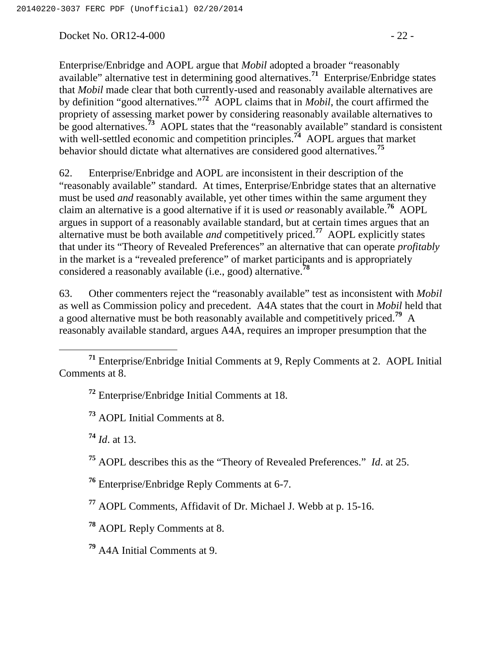Docket No. OR12-4-000 - 22 -

Enterprise/Enbridge and AOPL argue that *Mobil* adopted a broader "reasonably available" alternative test in determining good alternatives.**<sup>71</sup>** Enterprise/Enbridge states that *Mobil* made clear that both currently-used and reasonably available alternatives are by definition "good alternatives."**<sup>72</sup>** AOPL claims that in *Mobil*, the court affirmed the propriety of assessing market power by considering reasonably available alternatives to be good alternatives.<sup>73</sup> AOPL states that the "reasonably available" standard is consistent with well-settled economic and competition principles.<sup>74</sup> AOPL argues that market behavior should dictate what alternatives are considered good alternatives.**<sup>75</sup>**

62. Enterprise/Enbridge and AOPL are inconsistent in their description of the "reasonably available" standard. At times, Enterprise/Enbridge states that an alternative must be used *and* reasonably available, yet other times within the same argument they claim an alternative is a good alternative if it is used *or* reasonably available.**<sup>76</sup>** AOPL argues in support of a reasonably available standard, but at certain times argues that an alternative must be both available *and* competitively priced.**<sup>77</sup>** AOPL explicitly states that under its "Theory of Revealed Preferences" an alternative that can operate *profitably* in the market is a "revealed preference" of market participants and is appropriately considered a reasonably available (i.e., good) alternative.**<sup>78</sup>**

63. Other commenters reject the "reasonably available" test as inconsistent with *Mobil* as well as Commission policy and precedent. A4A states that the court in *Mobil* held that a good alternative must be both reasonably available and competitively priced.**<sup>79</sup>** A reasonably available standard, argues A4A, requires an improper presumption that the

**<sup>72</sup>** Enterprise/Enbridge Initial Comments at 18.

**<sup>73</sup>** AOPL Initial Comments at 8.

**<sup>74</sup>** *Id*. at 13.

**<sup>75</sup>** AOPL describes this as the "Theory of Revealed Preferences." *Id*. at 25.

**<sup>76</sup>** Enterprise/Enbridge Reply Comments at 6-7.

**<sup>77</sup>** AOPL Comments, Affidavit of Dr. Michael J. Webb at p. 15-16.

**<sup>78</sup>** AOPL Reply Comments at 8.

**<sup>79</sup>** A4A Initial Comments at 9.

**<sup>71</sup>** Enterprise/Enbridge Initial Comments at 9, Reply Comments at 2. AOPL Initial Comments at 8.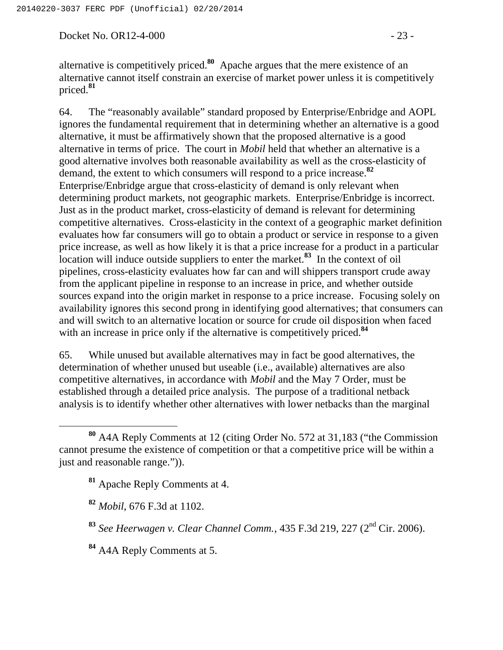Docket No. OR12-4-000 - 23 -

alternative is competitively priced.**<sup>80</sup>** Apache argues that the mere existence of an alternative cannot itself constrain an exercise of market power unless it is competitively priced.**<sup>81</sup>**

64. The "reasonably available" standard proposed by Enterprise/Enbridge and AOPL ignores the fundamental requirement that in determining whether an alternative is a good alternative, it must be affirmatively shown that the proposed alternative is a good alternative in terms of price. The court in *Mobil* held that whether an alternative is a good alternative involves both reasonable availability as well as the cross-elasticity of demand, the extent to which consumers will respond to a price increase.**<sup>82</sup>** Enterprise/Enbridge argue that cross-elasticity of demand is only relevant when determining product markets, not geographic markets. Enterprise/Enbridge is incorrect. Just as in the product market, cross-elasticity of demand is relevant for determining competitive alternatives. Cross-elasticity in the context of a geographic market definition evaluates how far consumers will go to obtain a product or service in response to a given price increase, as well as how likely it is that a price increase for a product in a particular location will induce outside suppliers to enter the market.**<sup>83</sup>** In the context of oil pipelines, cross-elasticity evaluates how far can and will shippers transport crude away from the applicant pipeline in response to an increase in price, and whether outside sources expand into the origin market in response to a price increase. Focusing solely on availability ignores this second prong in identifying good alternatives; that consumers can and will switch to an alternative location or source for crude oil disposition when faced with an increase in price only if the alternative is competitively priced.<sup>84</sup>

65. While unused but available alternatives may in fact be good alternatives, the determination of whether unused but useable (i.e., available) alternatives are also competitive alternatives, in accordance with *Mobil* and the May 7 Order, must be established through a detailed price analysis. The purpose of a traditional netback analysis is to identify whether other alternatives with lower netbacks than the marginal

**<sup>81</sup>** Apache Reply Comments at 4.

**<sup>82</sup>** *Mobil*, 676 F.3d at 1102.

**<sup>84</sup>** A4A Reply Comments at 5.

**<sup>80</sup>** A4A Reply Comments at 12 (citing Order No. 572 at 31,183 ("the Commission cannot presume the existence of competition or that a competitive price will be within a just and reasonable range.")).

**<sup>83</sup>** *See Heerwagen v. Clear Channel Comm.*, 435 F.3d 219, 227 (2nd Cir. 2006).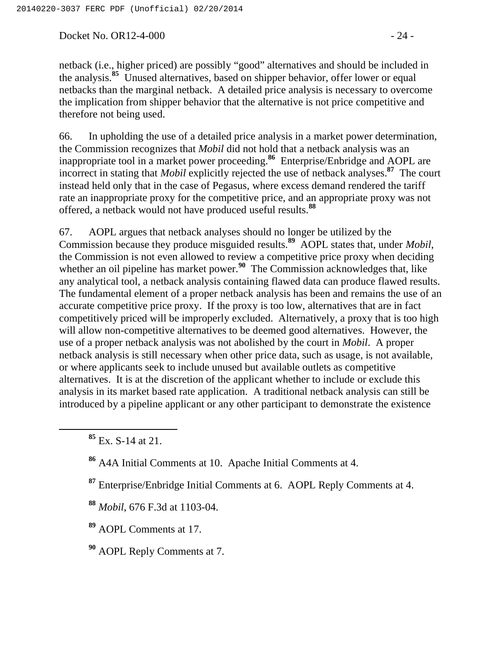Docket No. OR12-4-000 - 24 -

netback (i.e., higher priced) are possibly "good" alternatives and should be included in the analysis.**<sup>85</sup>** Unused alternatives, based on shipper behavior, offer lower or equal netbacks than the marginal netback. A detailed price analysis is necessary to overcome the implication from shipper behavior that the alternative is not price competitive and therefore not being used.

66. In upholding the use of a detailed price analysis in a market power determination, the Commission recognizes that *Mobil* did not hold that a netback analysis was an inappropriate tool in a market power proceeding.**<sup>86</sup>** Enterprise/Enbridge and AOPL are incorrect in stating that *Mobil* explicitly rejected the use of netback analyses.**<sup>87</sup>** The court instead held only that in the case of Pegasus, where excess demand rendered the tariff rate an inappropriate proxy for the competitive price, and an appropriate proxy was not offered, a netback would not have produced useful results.**<sup>88</sup>**

67. AOPL argues that netback analyses should no longer be utilized by the Commission because they produce misguided results.**<sup>89</sup>** AOPL states that, under *Mobil*, the Commission is not even allowed to review a competitive price proxy when deciding whether an oil pipeline has market power.<sup>90</sup> The Commission acknowledges that, like any analytical tool, a netback analysis containing flawed data can produce flawed results. The fundamental element of a proper netback analysis has been and remains the use of an accurate competitive price proxy. If the proxy is too low, alternatives that are in fact competitively priced will be improperly excluded. Alternatively, a proxy that is too high will allow non-competitive alternatives to be deemed good alternatives. However, the use of a proper netback analysis was not abolished by the court in *Mobil*. A proper netback analysis is still necessary when other price data, such as usage, is not available, or where applicants seek to include unused but available outlets as competitive alternatives. It is at the discretion of the applicant whether to include or exclude this analysis in its market based rate application. A traditional netback analysis can still be introduced by a pipeline applicant or any other participant to demonstrate the existence

**<sup>88</sup>** *Mobil*, 676 F.3d at 1103-04.

**<sup>89</sup>** AOPL Comments at 17.

**<sup>90</sup>** AOPL Reply Comments at 7.

**<sup>85</sup>** Ex. S-14 at 21.

**<sup>86</sup>** A4A Initial Comments at 10. Apache Initial Comments at 4.

**<sup>87</sup>** Enterprise/Enbridge Initial Comments at 6. AOPL Reply Comments at 4.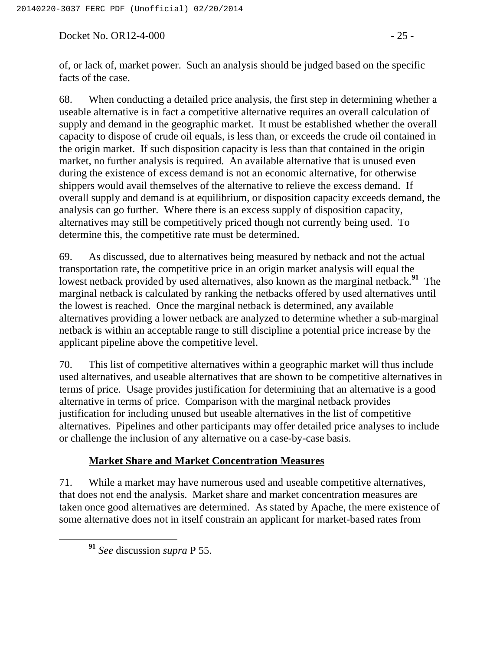Docket No. OR12-4-000 - 25 -

of, or lack of, market power. Such an analysis should be judged based on the specific facts of the case.

68. When conducting a detailed price analysis, the first step in determining whether a useable alternative is in fact a competitive alternative requires an overall calculation of supply and demand in the geographic market. It must be established whether the overall capacity to dispose of crude oil equals, is less than, or exceeds the crude oil contained in the origin market. If such disposition capacity is less than that contained in the origin market, no further analysis is required. An available alternative that is unused even during the existence of excess demand is not an economic alternative, for otherwise shippers would avail themselves of the alternative to relieve the excess demand. If overall supply and demand is at equilibrium, or disposition capacity exceeds demand, the analysis can go further. Where there is an excess supply of disposition capacity, alternatives may still be competitively priced though not currently being used. To determine this, the competitive rate must be determined.

69. As discussed, due to alternatives being measured by netback and not the actual transportation rate, the competitive price in an origin market analysis will equal the lowest netback provided by used alternatives, also known as the marginal netback.<sup>91</sup> The marginal netback is calculated by ranking the netbacks offered by used alternatives until the lowest is reached. Once the marginal netback is determined, any available alternatives providing a lower netback are analyzed to determine whether a sub-marginal netback is within an acceptable range to still discipline a potential price increase by the applicant pipeline above the competitive level.

70. This list of competitive alternatives within a geographic market will thus include used alternatives, and useable alternatives that are shown to be competitive alternatives in terms of price. Usage provides justification for determining that an alternative is a good alternative in terms of price. Comparison with the marginal netback provides justification for including unused but useable alternatives in the list of competitive alternatives. Pipelines and other participants may offer detailed price analyses to include or challenge the inclusion of any alternative on a case-by-case basis.

# **Market Share and Market Concentration Measures**

71. While a market may have numerous used and useable competitive alternatives, that does not end the analysis. Market share and market concentration measures are taken once good alternatives are determined. As stated by Apache, the mere existence of some alternative does not in itself constrain an applicant for market-based rates from

**<sup>91</sup>** *See* discussion *supra* P 55.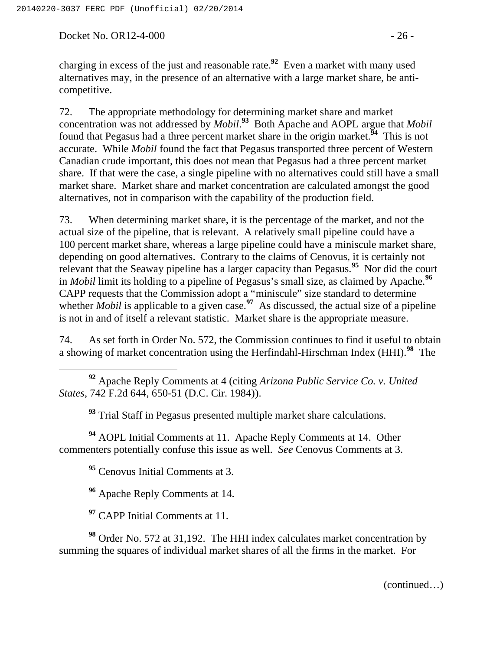Docket No. OR12-4-000 - 26 -

charging in excess of the just and reasonable rate.**<sup>92</sup>** Even a market with many used alternatives may, in the presence of an alternative with a large market share, be anticompetitive.

72. The appropriate methodology for determining market share and market concentration was not addressed by *Mobil*. **<sup>93</sup>** Both Apache and AOPL argue that *Mobil* found that Pegasus had a three percent market share in the origin market.**<sup>94</sup>** This is not accurate. While *Mobil* found the fact that Pegasus transported three percent of Western Canadian crude important, this does not mean that Pegasus had a three percent market share. If that were the case, a single pipeline with no alternatives could still have a small market share. Market share and market concentration are calculated amongst the good alternatives, not in comparison with the capability of the production field.

73. When determining market share, it is the percentage of the market, and not the actual size of the pipeline, that is relevant. A relatively small pipeline could have a 100 percent market share, whereas a large pipeline could have a miniscule market share, depending on good alternatives. Contrary to the claims of Cenovus, it is certainly not relevant that the Seaway pipeline has a larger capacity than Pegasus.**<sup>95</sup>** Nor did the court in *Mobil* limit its holding to a pipeline of Pegasus's small size, as claimed by Apache.**<sup>96</sup>** CAPP requests that the Commission adopt a "miniscule" size standard to determine whether *Mobil* is applicable to a given case.<sup>97</sup> As discussed, the actual size of a pipeline is not in and of itself a relevant statistic. Market share is the appropriate measure.

74. As set forth in Order No. 572, the Commission continues to find it useful to obtain a showing of market concentration using the Herfindahl-Hirschman Index (HHI).**<sup>98</sup>** The

 **<sup>92</sup>** Apache Reply Comments at 4 (citing *Arizona Public Service Co. v. United States*, 742 F.2d 644, 650-51 (D.C. Cir. 1984)).

**<sup>93</sup>** Trial Staff in Pegasus presented multiple market share calculations.

**<sup>94</sup>** AOPL Initial Comments at 11. Apache Reply Comments at 14. Other commenters potentially confuse this issue as well. *See* Cenovus Comments at 3.

**<sup>95</sup>** Cenovus Initial Comments at 3.

**<sup>96</sup>** Apache Reply Comments at 14.

**<sup>97</sup>** CAPP Initial Comments at 11.

**<sup>98</sup>** Order No. 572 at 31,192. The HHI index calculates market concentration by summing the squares of individual market shares of all the firms in the market. For

(continued…)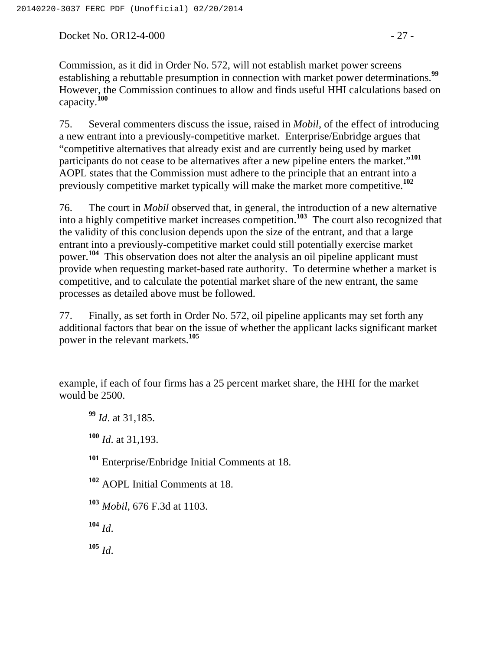Docket No. OR12-4-000 - 27 -

Commission, as it did in Order No. 572, will not establish market power screens establishing a rebuttable presumption in connection with market power determinations.**<sup>99</sup>** However, the Commission continues to allow and finds useful HHI calculations based on capacity.**<sup>100</sup>**

75. Several commenters discuss the issue, raised in *Mobil*, of the effect of introducing a new entrant into a previously-competitive market. Enterprise/Enbridge argues that "competitive alternatives that already exist and are currently being used by market participants do not cease to be alternatives after a new pipeline enters the market."<sup>101</sup> AOPL states that the Commission must adhere to the principle that an entrant into a previously competitive market typically will make the market more competitive.**<sup>102</sup>**

76. The court in *Mobil* observed that, in general, the introduction of a new alternative into a highly competitive market increases competition.**<sup>103</sup>** The court also recognized that the validity of this conclusion depends upon the size of the entrant, and that a large entrant into a previously-competitive market could still potentially exercise market power.**<sup>104</sup>** This observation does not alter the analysis an oil pipeline applicant must provide when requesting market-based rate authority. To determine whether a market is competitive, and to calculate the potential market share of the new entrant, the same processes as detailed above must be followed.

77. Finally, as set forth in Order No. 572, oil pipeline applicants may set forth any additional factors that bear on the issue of whether the applicant lacks significant market power in the relevant markets.**<sup>105</sup>**

example, if each of four firms has a 25 percent market share, the HHI for the market would be 2500.

**<sup>99</sup>** *Id*. at 31,185.

 $\overline{a}$ 

**<sup>100</sup>** *Id*. at 31,193.

**<sup>101</sup>** Enterprise/Enbridge Initial Comments at 18.

**<sup>102</sup>** AOPL Initial Comments at 18.

**<sup>103</sup>** *Mobil*, 676 F.3d at 1103.

**<sup>104</sup>** *Id*.

**<sup>105</sup>** *Id*.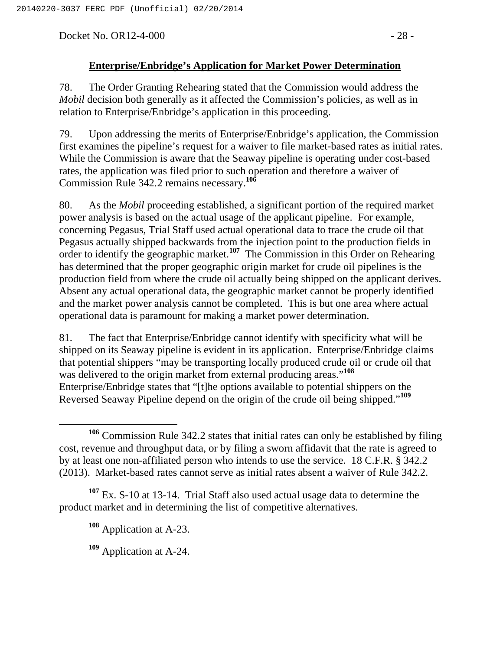Docket No. OR12-4-000 - 28 -

## **Enterprise/Enbridge's Application for Market Power Determination**

78. The Order Granting Rehearing stated that the Commission would address the *Mobil* decision both generally as it affected the Commission's policies, as well as in relation to Enterprise/Enbridge's application in this proceeding.

79. Upon addressing the merits of Enterprise/Enbridge's application, the Commission first examines the pipeline's request for a waiver to file market-based rates as initial rates. While the Commission is aware that the Seaway pipeline is operating under cost-based rates, the application was filed prior to such operation and therefore a waiver of Commission Rule 342.2 remains necessary.**<sup>106</sup>**

80. As the *Mobil* proceeding established, a significant portion of the required market power analysis is based on the actual usage of the applicant pipeline. For example, concerning Pegasus, Trial Staff used actual operational data to trace the crude oil that Pegasus actually shipped backwards from the injection point to the production fields in order to identify the geographic market.**<sup>107</sup>** The Commission in this Order on Rehearing has determined that the proper geographic origin market for crude oil pipelines is the production field from where the crude oil actually being shipped on the applicant derives. Absent any actual operational data, the geographic market cannot be properly identified and the market power analysis cannot be completed. This is but one area where actual operational data is paramount for making a market power determination.

81. The fact that Enterprise/Enbridge cannot identify with specificity what will be shipped on its Seaway pipeline is evident in its application. Enterprise/Enbridge claims that potential shippers "may be transporting locally produced crude oil or crude oil that was delivered to the origin market from external producing areas."**<sup>108</sup>** Enterprise/Enbridge states that "[t]he options available to potential shippers on the Reversed Seaway Pipeline depend on the origin of the crude oil being shipped."**<sup>109</sup>**

**<sup>106</sup>** Commission Rule 342.2 states that initial rates can only be established by filing cost, revenue and throughput data, or by filing a sworn affidavit that the rate is agreed to by at least one non-affiliated person who intends to use the service. 18 C.F.R. § 342.2 (2013). Market-based rates cannot serve as initial rates absent a waiver of Rule 342.2.

**<sup>107</sup>** Ex. S-10 at 13-14. Trial Staff also used actual usage data to determine the product market and in determining the list of competitive alternatives.

**<sup>108</sup>** Application at A-23.

**<sup>109</sup>** Application at A-24.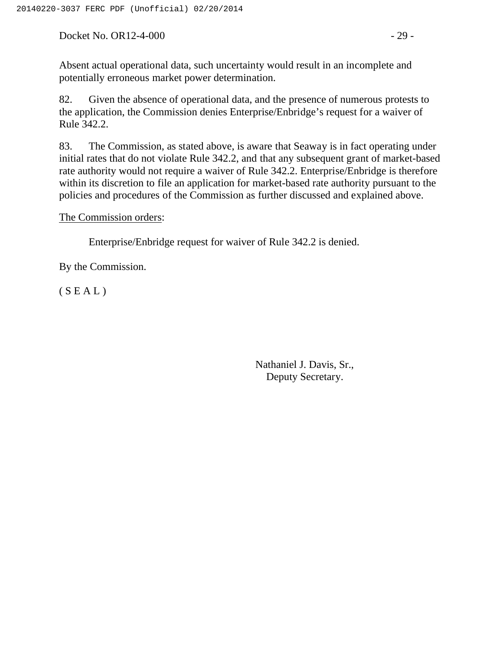Docket No. OR12-4-000 - 29 -

Absent actual operational data, such uncertainty would result in an incomplete and potentially erroneous market power determination.

82. Given the absence of operational data, and the presence of numerous protests to the application, the Commission denies Enterprise/Enbridge's request for a waiver of Rule 342.2.

83. The Commission, as stated above, is aware that Seaway is in fact operating under initial rates that do not violate Rule 342.2, and that any subsequent grant of market-based rate authority would not require a waiver of Rule 342.2. Enterprise/Enbridge is therefore within its discretion to file an application for market-based rate authority pursuant to the policies and procedures of the Commission as further discussed and explained above.

The Commission orders:

Enterprise/Enbridge request for waiver of Rule 342.2 is denied.

By the Commission.

 $(S E A L)$ 

Nathaniel J. Davis, Sr., Deputy Secretary.